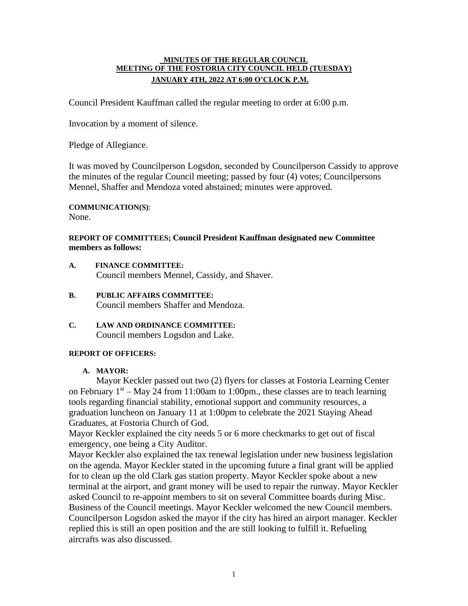### **MINUTES OF THE REGULAR COUNCIL MEETING OF THE FOSTORIA CITY COUNCIL HELD (TUESDAY) JANUARY 4TH, 2022 AT 6:00 O'CLOCK P.M.**

Council President Kauffman called the regular meeting to order at 6:00 p.m.

Invocation by a moment of silence.

Pledge of Allegiance.

It was moved by Councilperson Logsdon, seconded by Councilperson Cassidy to approve the minutes of the regular Council meeting; passed by four (4) votes; Councilpersons Mennel, Shaffer and Mendoza voted abstained; minutes were approved.

**COMMUNICATION(S)**: None.

# **REPORT OF COMMITTEES; Council President Kauffman designated new Committee members as follows:**

- **A. FINANCE COMMITTEE:** Council members Mennel, Cassidy, and Shaver.
- **B. PUBLIC AFFAIRS COMMITTEE:** Council members Shaffer and Mendoza.
- **C. LAW AND ORDINANCE COMMITTEE:** Council members Logsdon and Lake.

# **REPORT OF OFFICERS:**

# **A. MAYOR:**

Mayor Keckler passed out two (2) flyers for classes at Fostoria Learning Center on February  $1<sup>st</sup> - May 24$  from 11:00am to 1:00pm., these classes are to teach learning tools regarding financial stability, emotional support and community resources, a graduation luncheon on January 11 at 1:00pm to celebrate the 2021 Staying Ahead Graduates, at Fostoria Church of God.

Mayor Keckler explained the city needs 5 or 6 more checkmarks to get out of fiscal emergency, one being a City Auditor.

Mayor Keckler also explained the tax renewal legislation under new business legislation on the agenda. Mayor Keckler stated in the upcoming future a final grant will be applied for to clean up the old Clark gas station property. Mayor Keckler spoke about a new terminal at the airport, and grant money will be used to repair the runway. Mayor Keckler asked Council to re-appoint members to sit on several Committee boards during Misc. Business of the Council meetings. Mayor Keckler welcomed the new Council members. Councilperson Logsdon asked the mayor if the city has hired an airport manager. Keckler replied this is still an open position and the are still looking to fulfill it. Refueling aircrafts was also discussed.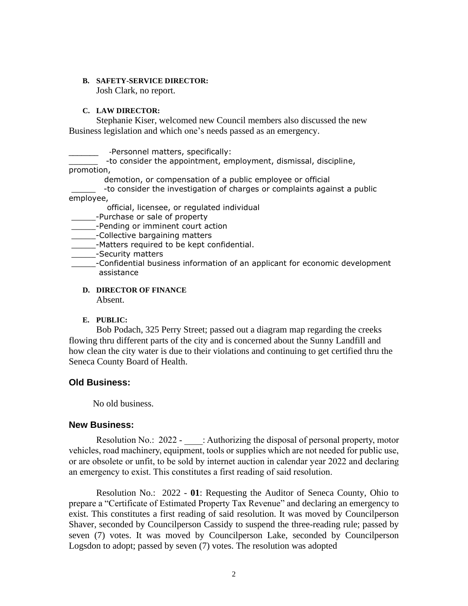#### **B. SAFETY-SERVICE DIRECTOR:**

Josh Clark, no report.

#### **C. LAW DIRECTOR:**

Stephanie Kiser, welcomed new Council members also discussed the new Business legislation and which one's needs passed as an emergency.

\_\_\_\_\_\_\_ -Personnel matters, specifically:

\_\_\_\_\_\_ -to consider the appointment, employment, dismissal, discipline, promotion,

demotion, or compensation of a public employee or official

-to consider the investigation of charges or complaints against a public employee,

official, licensee, or regulated individual

\_\_\_\_\_-Purchase or sale of property

**EXECUTE:** Pending or imminent court action

**Example 2**-Collective bargaining matters

- \_\_\_\_\_-Matters required to be kept confidential.
- \_\_\_\_\_-Security matters
- \_\_\_\_\_-Confidential business information of an applicant for economic development assistance

**D. DIRECTOR OF FINANCE**

Absent.

# **E. PUBLIC:**

Bob Podach, 325 Perry Street; passed out a diagram map regarding the creeks flowing thru different parts of the city and is concerned about the Sunny Landfill and how clean the city water is due to their violations and continuing to get certified thru the Seneca County Board of Health.

# **Old Business:**

No old business.

# **New Business:**

Resolution No.: 2022 - \_\_\_\_: Authorizing the disposal of personal property, motor vehicles, road machinery, equipment, tools or supplies which are not needed for public use, or are obsolete or unfit, to be sold by internet auction in calendar year 2022 and declaring an emergency to exist. This constitutes a first reading of said resolution.

Resolution No.: 2022 - **01**: Requesting the Auditor of Seneca County, Ohio to prepare a "Certificate of Estimated Property Tax Revenue" and declaring an emergency to exist. This constitutes a first reading of said resolution. It was moved by Councilperson Shaver, seconded by Councilperson Cassidy to suspend the three-reading rule; passed by seven (7) votes. It was moved by Councilperson Lake, seconded by Councilperson Logsdon to adopt; passed by seven (7) votes. The resolution was adopted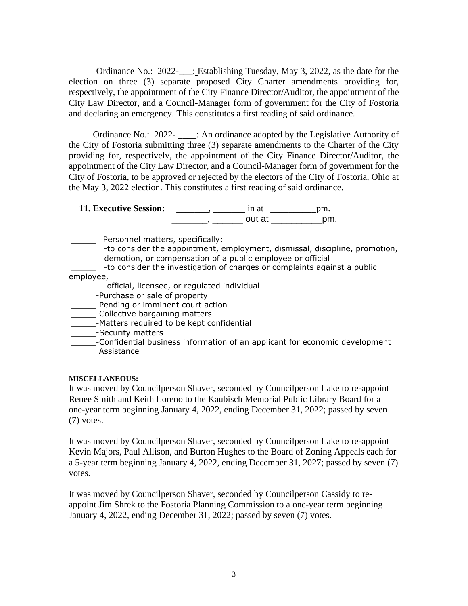Ordinance No.: 2022-\_\_\_: Establishing Tuesday, May 3, 2022, as the date for the election on three (3) separate proposed City Charter amendments providing for, respectively, the appointment of the City Finance Director/Auditor, the appointment of the City Law Director, and a Council-Manager form of government for the City of Fostoria and declaring an emergency. This constitutes a first reading of said ordinance.

Ordinance No.: 2022- \_\_\_\_: An ordinance adopted by the Legislative Authority of the City of Fostoria submitting three (3) separate amendments to the Charter of the City providing for, respectively, the appointment of the City Finance Director/Auditor, the appointment of the City Law Director, and a Council-Manager form of government for the City of Fostoria, to be approved or rejected by the electors of the City of Fostoria, Ohio at the May 3, 2022 election. This constitutes a first reading of said ordinance.

**11. Executive Session:** \_\_\_\_\_\_\_, \_\_\_\_\_\_\_ in at \_\_\_\_\_\_\_\_\_\_pm. \_\_\_\_\_\_\_\_\_, \_\_\_\_\_\_\_\_ out at \_\_\_\_\_\_\_\_\_\_\_\_\_\_\_pm.

\_\_\_\_\_\_ - Personnel matters, specifically:

- \_\_\_\_\_ -to consider the appointment, employment, dismissal, discipline, promotion, demotion, or compensation of a public employee or official
- -to consider the investigation of charges or complaints against a public
- employee,
	- official, licensee, or regulated individual
	- \_\_\_\_\_-Purchase or sale of property
- **\_\_\_\_\_\_**-Pending or imminent court action
- **\_\_\_\_\_\_\_**-Collective bargaining matters
- \_\_\_\_\_\_-Matters required to be kept confidential
- **\_\_\_\_\_\_\_**-Security matters
- \_\_\_\_\_-Confidential business information of an applicant for economic development Assistance

# **MISCELLANEOUS:**

It was moved by Councilperson Shaver, seconded by Councilperson Lake to re-appoint Renee Smith and Keith Loreno to the Kaubisch Memorial Public Library Board for a one-year term beginning January 4, 2022, ending December 31, 2022; passed by seven (7) votes.

It was moved by Councilperson Shaver, seconded by Councilperson Lake to re-appoint Kevin Majors, Paul Allison, and Burton Hughes to the Board of Zoning Appeals each for a 5-year term beginning January 4, 2022, ending December 31, 2027; passed by seven (7) votes.

It was moved by Councilperson Shaver, seconded by Councilperson Cassidy to reappoint Jim Shrek to the Fostoria Planning Commission to a one-year term beginning January 4, 2022, ending December 31, 2022; passed by seven (7) votes.